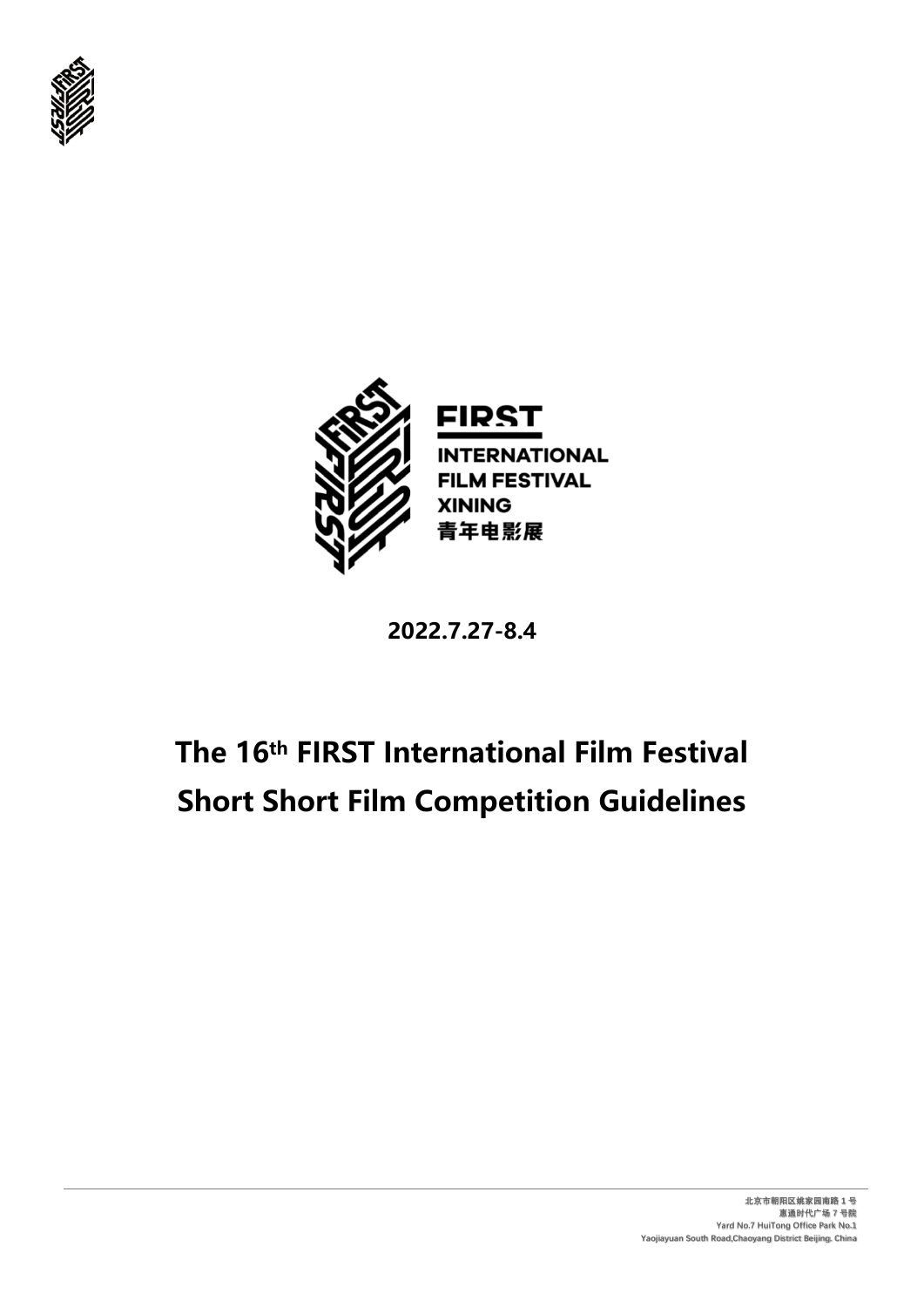



**2022.7.27-8.4**

# **The 16th FIRST International Film Festival Short Short Film Competition Guidelines**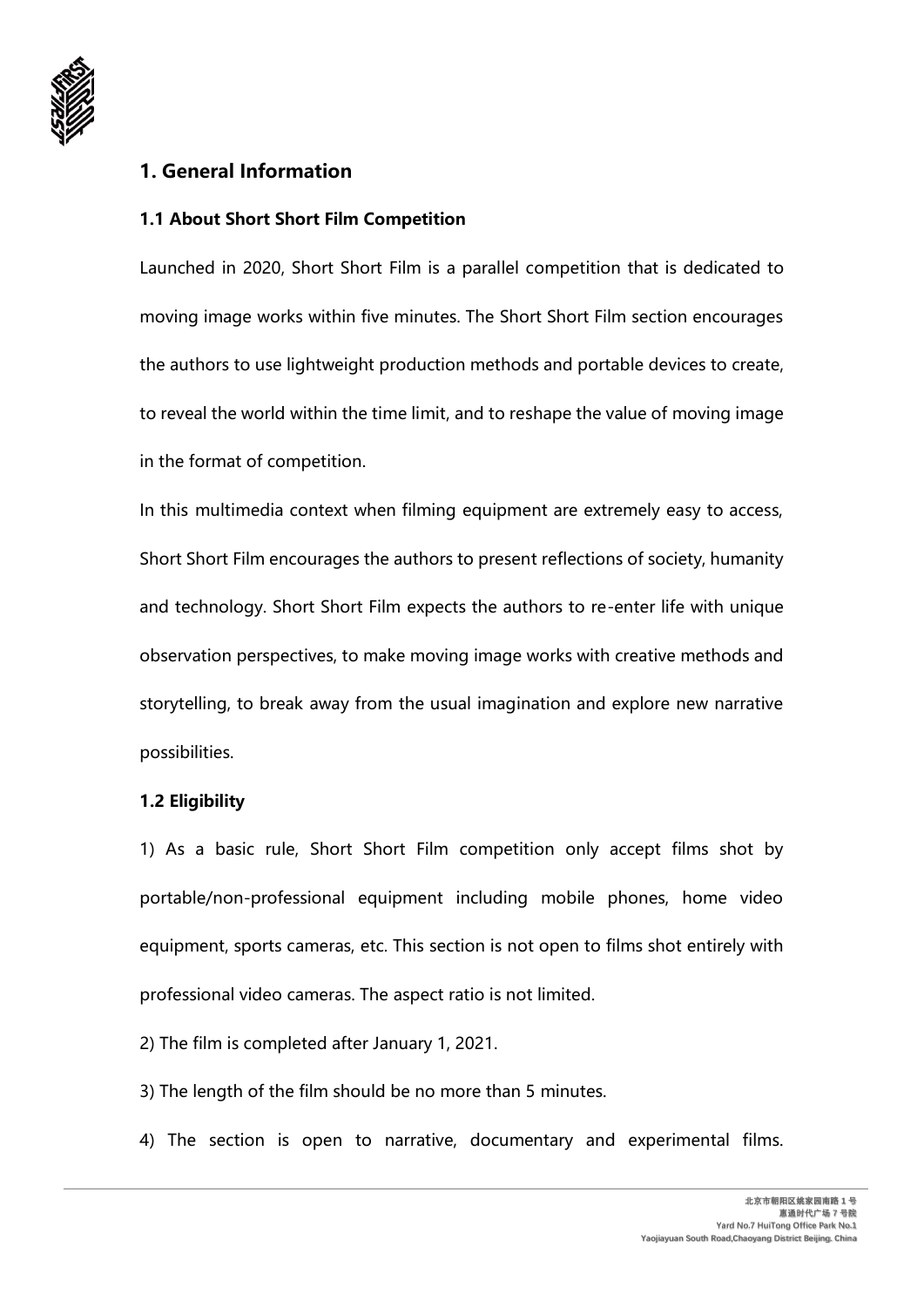

# **1. General Information**

## **1.1 About Short Short Film Competition**

Launched in 2020, Short Short Film is a parallel competition that is dedicated to moving image works within five minutes. The Short Short Film section encourages the authors to use lightweight production methods and portable devices to create, to reveal the world within the time limit, and to reshape the value of moving image in the format of competition.

In this multimedia context when filming equipment are extremely easy to access, Short Short Film encourages the authors to present reflections of society, humanity and technology. Short Short Film expects the authors to re-enter life with unique observation perspectives, to make moving image works with creative methods and storytelling, to break away from the usual imagination and explore new narrative possibilities.

#### **1.2 Eligibility**

1) As a basic rule, Short Short Film competition only accept films shot by portable/non-professional equipment including mobile phones, home video equipment, sports cameras, etc. This section is not open to films shot entirely with professional video cameras. The aspect ratio is not limited.

- 2) The film is completed after January 1, 2021.
- 3) The length of the film should be no more than 5 minutes.
- 4) The section is open to narrative, documentary and experimental films.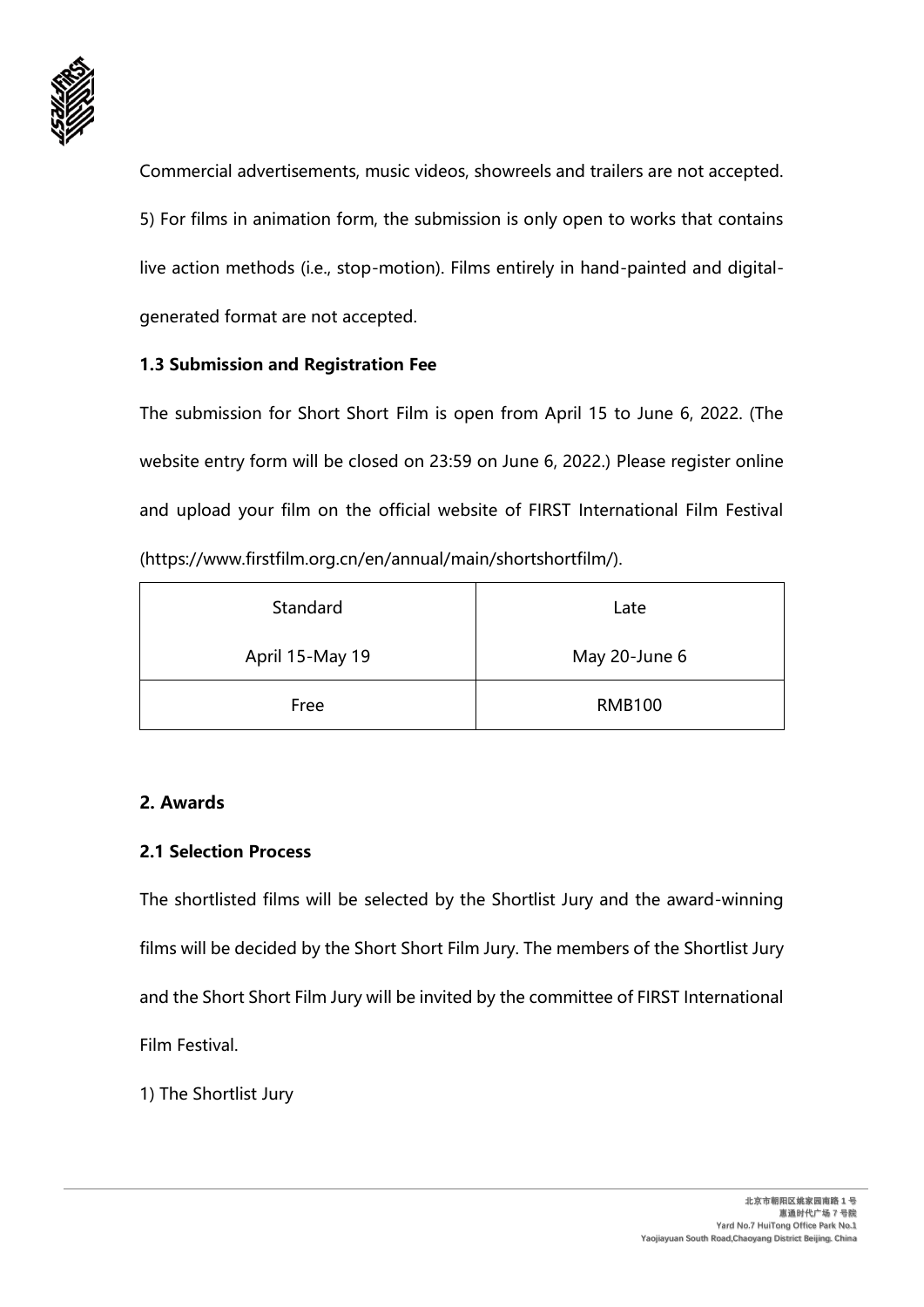

Commercial advertisements, music videos, showreels and trailers are not accepted. 5) For films in animation form, the submission is only open to works that contains live action methods (i.e., stop-motion). Films entirely in hand-painted and digitalgenerated format are not accepted.

## **1.3 Submission and Registration Fee**

The submission for Short Short Film is open from April 15 to June 6, 2022. (The website entry form will be closed on 23:59 on June 6, 2022.) Please register online and upload your film on the official website of FIRST International Film Festival (https://www.firstfilm.org.cn/en/annual/main/shortshortfilm/).

| Standard        | Late          |
|-----------------|---------------|
| April 15-May 19 | May 20-June 6 |
| Free            | <b>RMB100</b> |

#### **2. Awards**

## **2.1 Selection Process**

The shortlisted films will be selected by the Shortlist Jury and the award-winning films will be decided by the Short Short Film Jury. The members of the Shortlist Jury and the Short Short Film Jury will be invited by the committee of FIRST International Film Festival.

1) The Shortlist Jury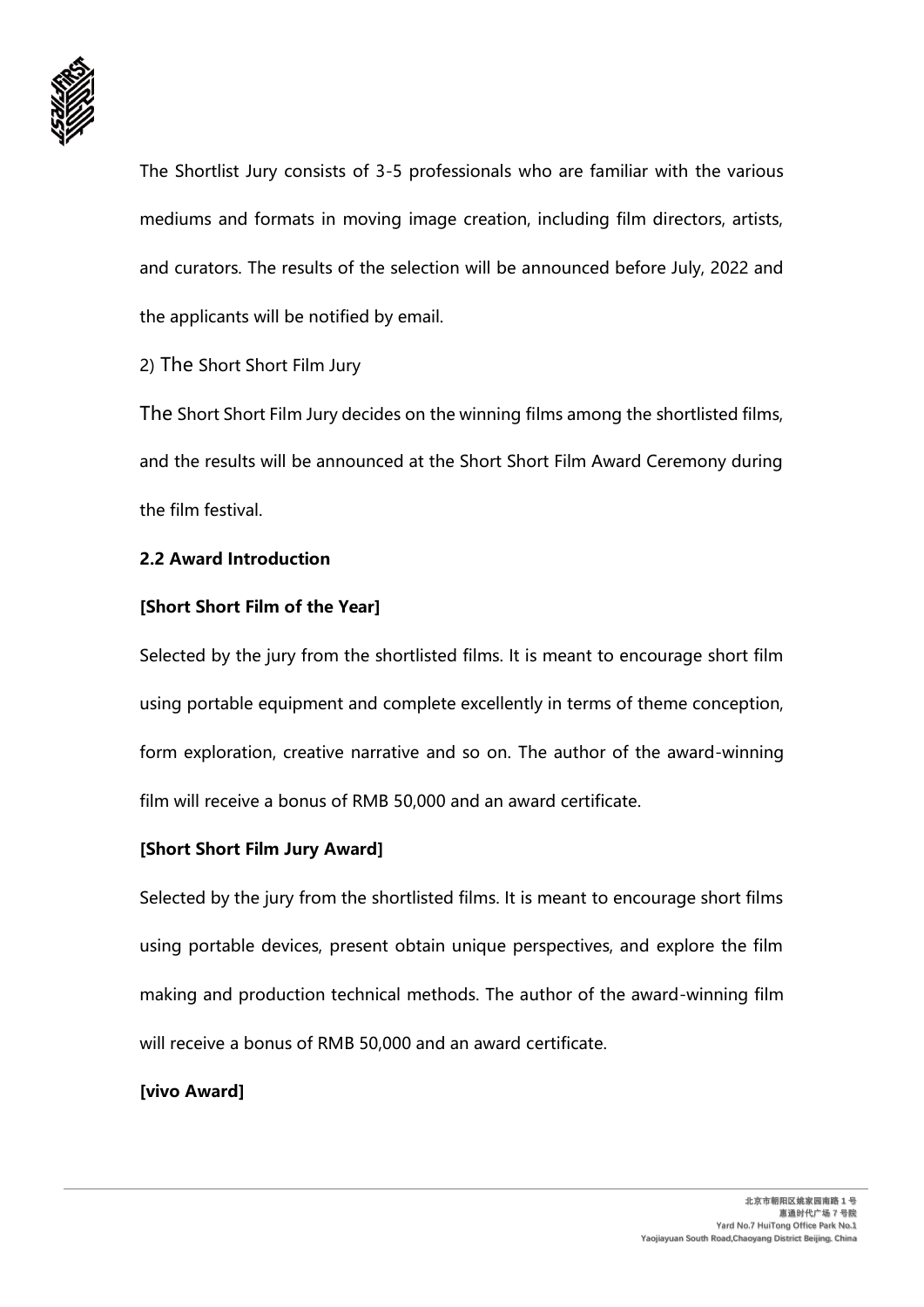

The Shortlist Jury consists of 3-5 professionals who are familiar with the various mediums and formats in moving image creation, including film directors, artists, and curators. The results of the selection will be announced before July, 2022 and the applicants will be notified by email.

2) The Short Short Film Jury

The Short Short Film Jury decides on the winning films among the shortlisted films, and the results will be announced at the Short Short Film Award Ceremony during the film festival.

## **2.2 Award Introduction**

## **[Short Short Film of the Year]**

Selected by the jury from the shortlisted films. It is meant to encourage short film using portable equipment and complete excellently in terms of theme conception, form exploration, creative narrative and so on. The author of the award-winning film will receive a bonus of RMB 50,000 and an award certificate.

## **[Short Short Film Jury Award]**

Selected by the jury from the shortlisted films. It is meant to encourage short films using portable devices, present obtain unique perspectives, and explore the film making and production technical methods. The author of the award-winning film will receive a bonus of RMB 50,000 and an award certificate.

# **[vivo Award]**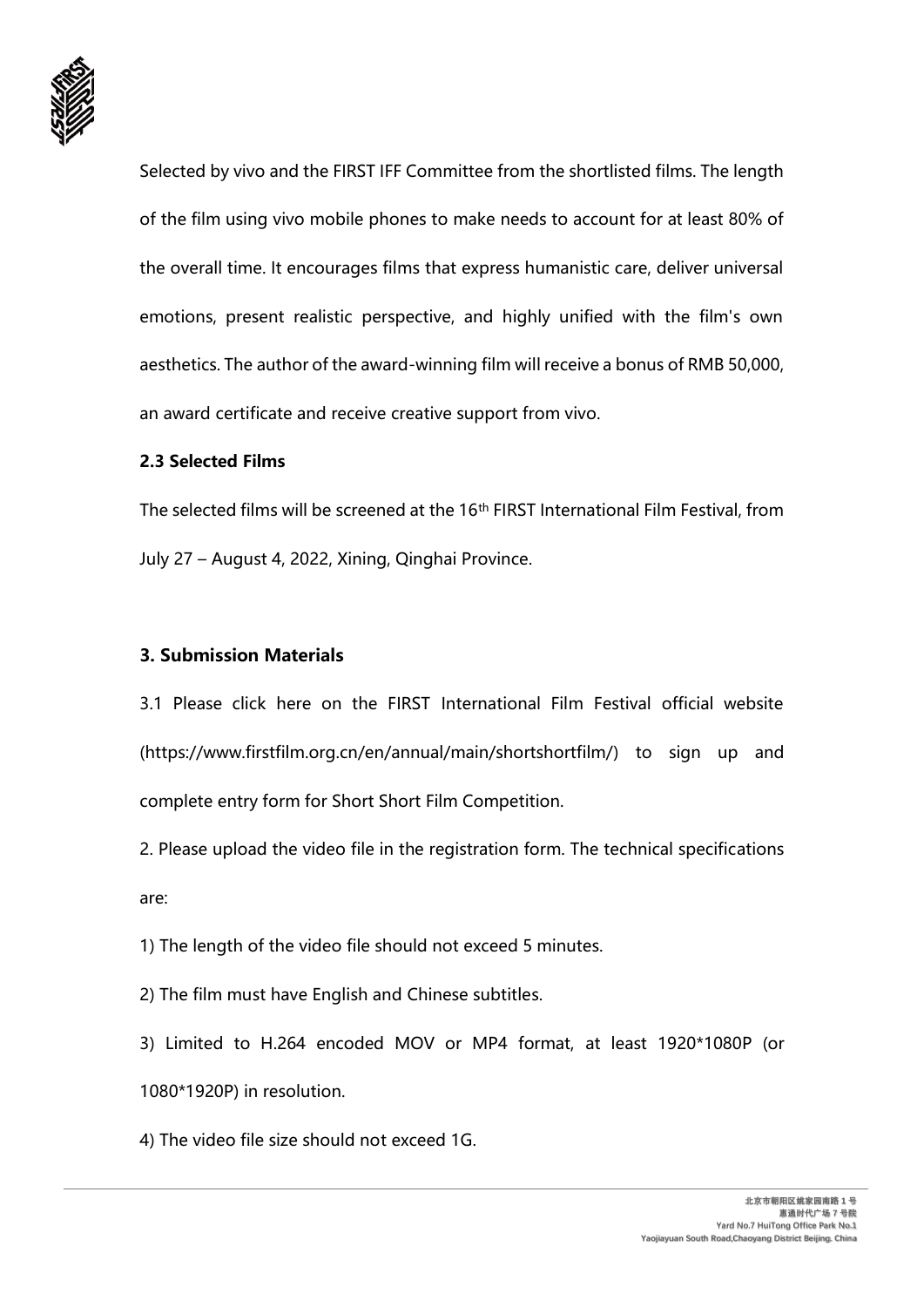

Selected by vivo and the FIRST IFF Committee from the shortlisted films. The length of the film using vivo mobile phones to make needs to account for at least 80% of the overall time. It encourages films that express humanistic care, deliver universal emotions, present realistic perspective, and highly unified with the film's own aesthetics. The author of the award-winning film will receive a bonus of RMB 50,000, an award certificate and receive creative support from vivo.

#### **2.3 Selected Films**

The selected films will be screened at the 16th FIRST International Film Festival, from July 27 – August 4, 2022, Xining, Qinghai Province.

### **3. Submission Materials**

3.1 Please click here on the FIRST International Film Festival official website (https://www.firstfilm.org.cn/en/annual/main/shortshortfilm/) to sign up and complete entry form for Short Short Film Competition.

2. Please upload the video file in the registration form. The technical specifications are:

1) The length of the video file should not exceed 5 minutes.

2) The film must have English and Chinese subtitles.

3) Limited to H.264 encoded MOV or MP4 format, at least 1920\*1080P (or 1080\*1920P) in resolution.

4) The video file size should not exceed 1G.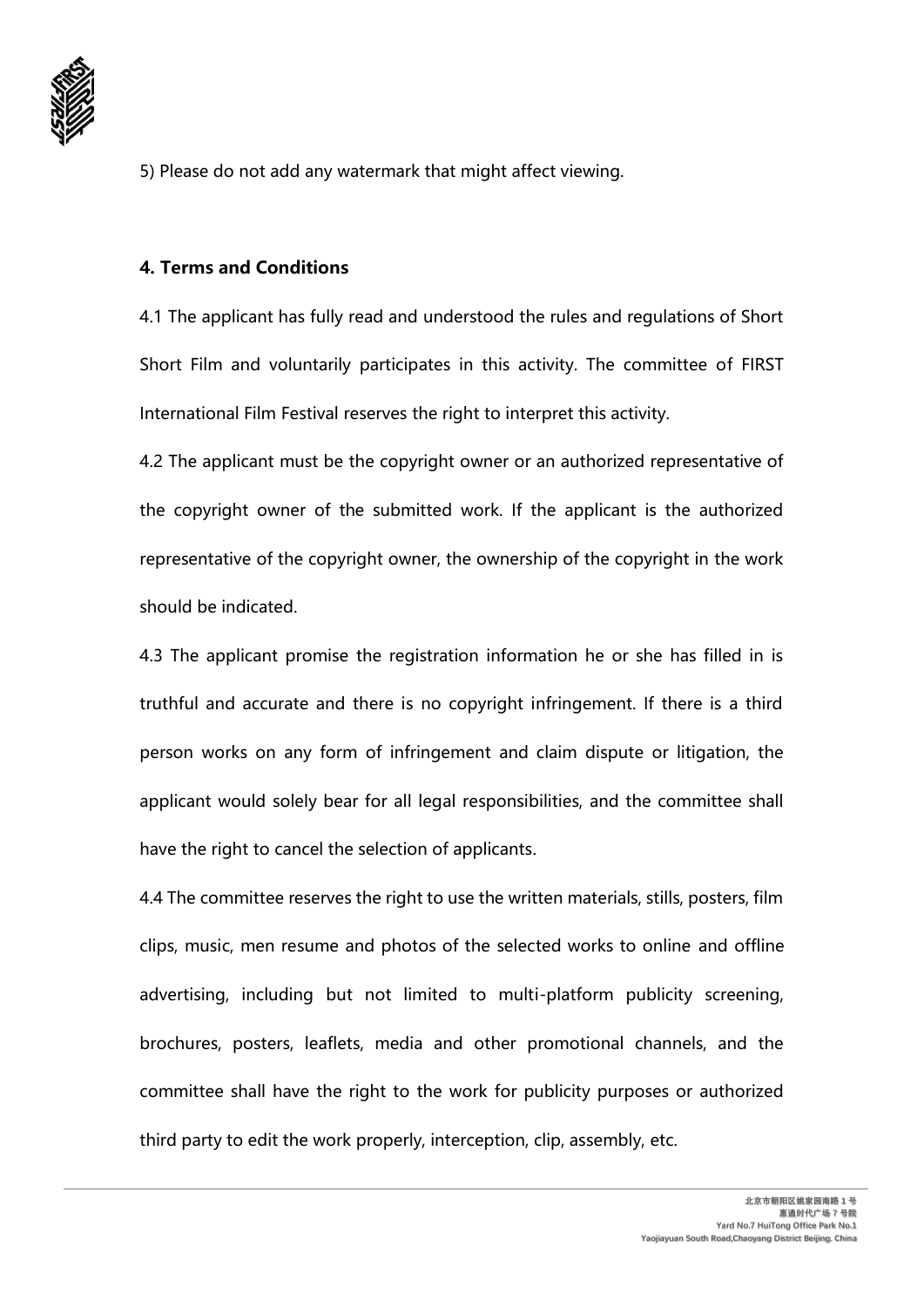

5) Please do not add any watermark that might affect viewing.

### **4. Terms and Conditions**

4.1 The applicant has fully read and understood the rules and regulations of Short Short Film and voluntarily participates in this activity. The committee of FIRST International Film Festival reserves the right to interpret this activity.

4.2 The applicant must be the copyright owner or an authorized representative of the copyright owner of the submitted work. If the applicant is the authorized representative of the copyright owner, the ownership of the copyright in the work should be indicated.

4.3 The applicant promise the registration information he or she has filled in is truthful and accurate and there is no copyright infringement. If there is a third person works on any form of infringement and claim dispute or litigation, the applicant would solely bear for all legal responsibilities, and the committee shall have the right to cancel the selection of applicants.

4.4 The committee reserves the right to use the written materials, stills, posters, film clips, music, men resume and photos of the selected works to online and offline advertising, including but not limited to multi-platform publicity screening, brochures, posters, leaflets, media and other promotional channels, and the committee shall have the right to the work for publicity purposes or authorized third party to edit the work properly, interception, clip, assembly, etc.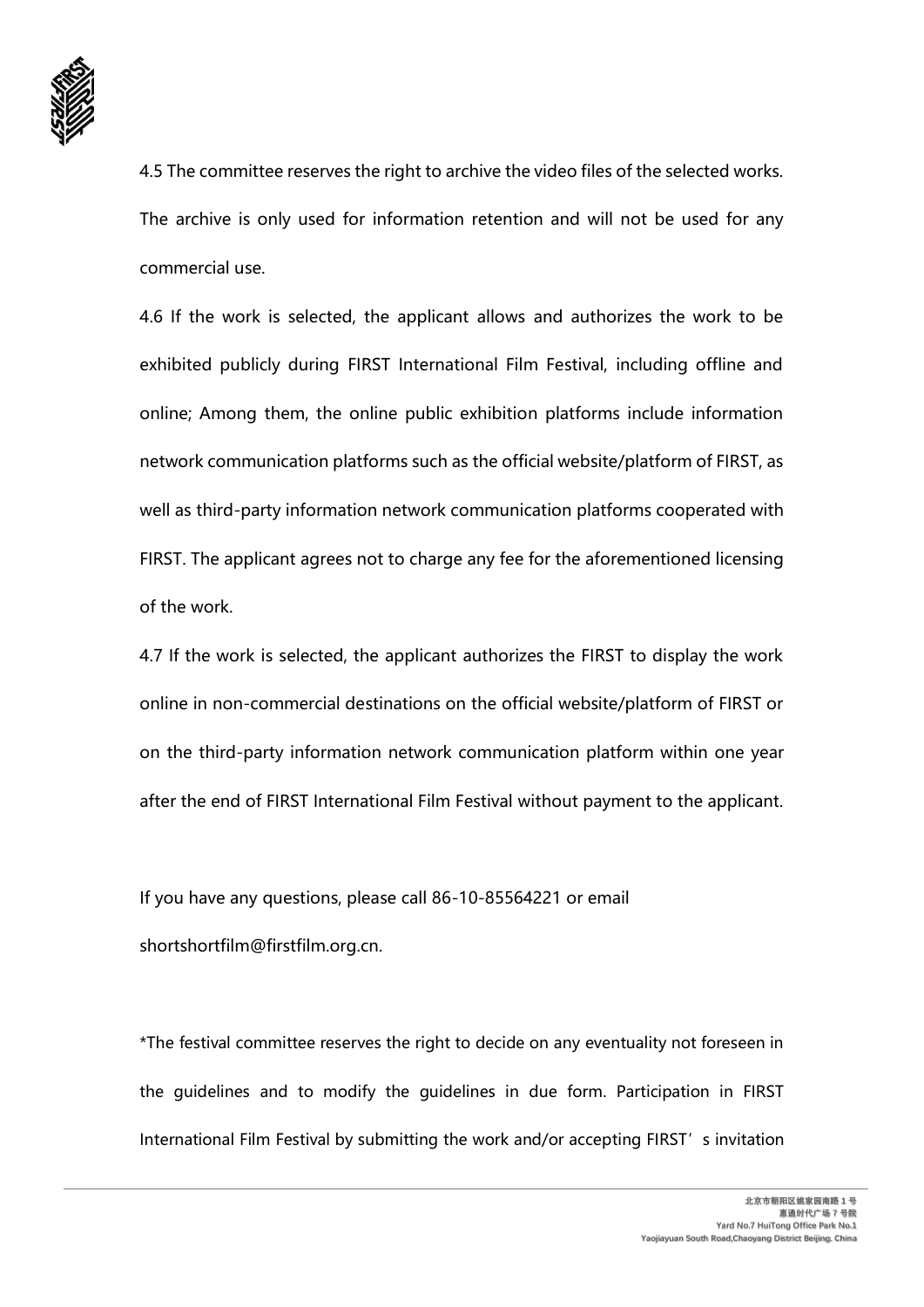

4.5 The committee reserves the right to archive the video files of the selected works. The archive is only used for information retention and will not be used for any commercial use.

4.6 If the work is selected, the applicant allows and authorizes the work to be exhibited publicly during FIRST International Film Festival, including offline and online; Among them, the online public exhibition platforms include information network communication platforms such as the official website/platform of FIRST, as well as third-party information network communication platforms cooperated with FIRST. The applicant agrees not to charge any fee for the aforementioned licensing of the work.

4.7 If the work is selected, the applicant authorizes the FIRST to display the work online in non-commercial destinations on the official website/platform of FIRST or on the third-party information network communication platform within one year after the end of FIRST International Film Festival without payment to the applicant.

If you have any questions, please call 86-10-85564221 or email shortshortfilm@firstfilm.org.cn.

\*The festival committee reserves the right to decide on any eventuality not foreseen in the guidelines and to modify the guidelines in due form. Participation in FIRST International Film Festival by submitting the work and/or accepting FIRST's invitation